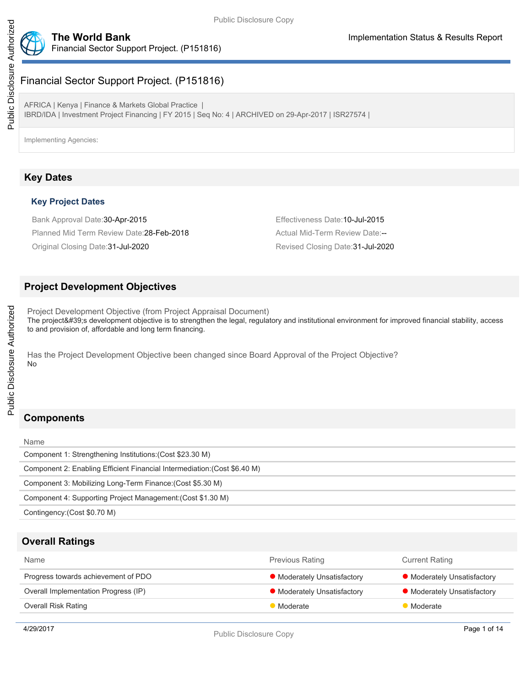

# Financial Sector Support Project. (P151816)

AFRICA | Kenya | Finance & Markets Global Practice | IBRD/IDA | Investment Project Financing | FY 2015 | Seq No: 4 | ARCHIVED on 29-Apr-2017 | ISR27574 |

Implementing Agencies:

# **Key Dates**

## **Key Project Dates**

Bank Approval Date:30-Apr-2015 Effectiveness Date:10-Jul-2015 Planned Mid Term Review Date: 28-Feb-2018 Actual Mid-Term Review Date:--

Original Closing Date:31-Jul-2020 Revised Closing Date:31-Jul-2020

## **Project Development Objectives**

Project Development Objective (from Project Appraisal Document) The project's development objective is to strengthen the legal, regulatory and institutional environment for improved financial stability, access to and provision of, affordable and long term financing.

Has the Project Development Objective been changed since Board Approval of the Project Objective? No

# **Components**

Name Component 1: Strengthening Institutions:(Cost \$23.30 M) Component 2: Enabling Efficient Financial Intermediation:(Cost \$6.40 M) Component 3: Mobilizing Long-Term Finance:(Cost \$5.30 M) Component 4: Supporting Project Management:(Cost \$1.30 M) Contingency:(Cost \$0.70 M)

# **Overall Ratings**

| <b>Name</b>                          | <b>Previous Rating</b>      | <b>Current Rating</b>       |
|--------------------------------------|-----------------------------|-----------------------------|
| Progress towards achievement of PDO  | • Moderately Unsatisfactory | • Moderately Unsatisfactory |
| Overall Implementation Progress (IP) | • Moderately Unsatisfactory | • Moderately Unsatisfactory |
| Overall Risk Rating                  | Moderate                    | Moderate                    |
|                                      |                             |                             |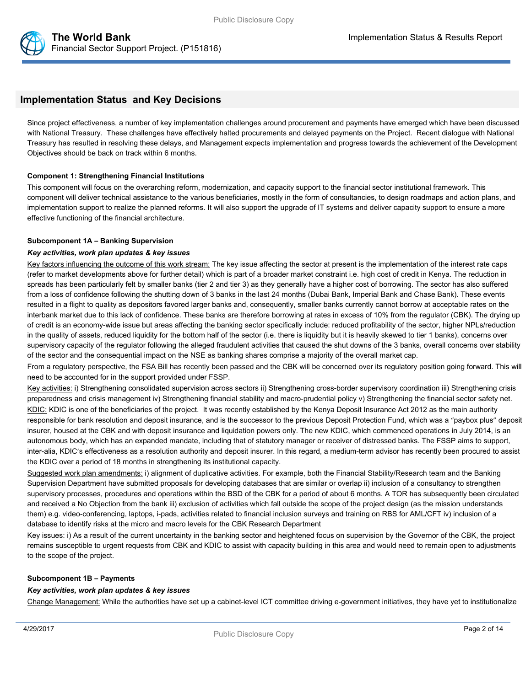



## **Implementation Status and Key Decisions**

Since project effectiveness, a number of key implementation challenges around procurement and payments have emerged which have been discussed with National Treasury. These challenges have effectively halted procurements and delayed payments on the Project. Recent dialogue with National Treasury has resulted in resolving these delays, and Management expects implementation and progress towards the achievement of the Development Objectives should be back on track within 6 months.

#### **Component 1: Strengthening Financial Institutions**

This component will focus on the overarching reform, modernization, and capacity support to the financial sector institutional framework. This component will deliver technical assistance to the various beneficiaries, mostly in the form of consultancies, to design roadmaps and action plans, and implementation support to realize the planned reforms. It will also support the upgrade of IT systems and deliver capacity support to ensure a more effective functioning of the financial architecture.

#### **Subcomponent 1A – Banking Supervision**

#### *Key activities, work plan updates & key issues*

Key factors influencing the outcome of this work stream: The key issue affecting the sector at present is the implementation of the interest rate caps (refer to market developments above for further detail) which is part of a broader market constraint i.e. high cost of credit in Kenya. The reduction in spreads has been particularly felt by smaller banks (tier 2 and tier 3) as they generally have a higher cost of borrowing. The sector has also suffered from a loss of confidence following the shutting down of 3 banks in the last 24 months (Dubai Bank, Imperial Bank and Chase Bank). These events resulted in a flight to quality as depositors favored larger banks and, consequently, smaller banks currently cannot borrow at acceptable rates on the interbank market due to this lack of confidence. These banks are therefore borrowing at rates in excess of 10% from the regulator (CBK). The drying up of credit is an economy-wide issue but areas affecting the banking sector specifically include: reduced profitability of the sector, higher NPLs/reduction in the quality of assets, reduced liquidity for the bottom half of the sector (i.e. there is liquidity but it is heavily skewed to tier 1 banks), concerns over supervisory capacity of the regulator following the alleged fraudulent activities that caused the shut downs of the 3 banks, overall concerns over stability of the sector and the consequential impact on the NSE as banking shares comprise a majority of the overall market cap.

From a regulatory perspective, the FSA Bill has recently been passed and the CBK will be concerned over its regulatory position going forward. This will need to be accounted for in the support provided under FSSP.

Key activities: i) Strengthening consolidated supervision across sectors ii) Strengthening cross-border supervisory coordination iii) Strengthening crisis preparedness and crisis management iv) Strengthening financial stability and macro-prudential policy v) Strengthening the financial sector safety net.

KDIC: KDIC is one of the beneficiaries of the project. It was recently established by the Kenya Deposit Insurance Act 2012 as the main authority responsible for bank resolution and deposit insurance, and is the successor to the previous Deposit Protection Fund, which was a "paybox plus" deposit insurer, housed at the CBK and with deposit insurance and liquidation powers only. The new KDIC, which commenced operations in July 2014, is an autonomous body, which has an expanded mandate, including that of statutory manager or receiver of distressed banks. The FSSP aims to support, inter-alia, KDIC's effectiveness as a resolution authority and deposit insurer. In this regard, a medium-term advisor has recently been procured to assist the KDIC over a period of 18 months in strengthening its institutional capacity.

Suggested work plan amendments: i) alignment of duplicative activities. For example, both the Financial Stability/Research team and the Banking Supervision Department have submitted proposals for developing databases that are similar or overlap ii) inclusion of a consultancy to strengthen supervisory processes, procedures and operations within the BSD of the CBK for a period of about 6 months. A TOR has subsequently been circulated and received a No Objection from the bank iii) exclusion of activities which fall outside the scope of the project design (as the mission understands them) e.g. video-conferencing, laptops, i-pads, activities related to financial inclusion surveys and training on RBS for AML/CFT iv) inclusion of a database to identify risks at the micro and macro levels for the CBK Research Department

Key issues: i) As a result of the current uncertainty in the banking sector and heightened focus on supervision by the Governor of the CBK, the project remains susceptible to urgent requests from CBK and KDIC to assist with capacity building in this area and would need to remain open to adjustments to the scope of the project.

#### **Subcomponent 1B – Payments**

#### *Key activities, work plan updates & key issues*

Change Management: While the authorities have set up a cabinet-level ICT committee driving e-government initiatives, they have yet to institutionalize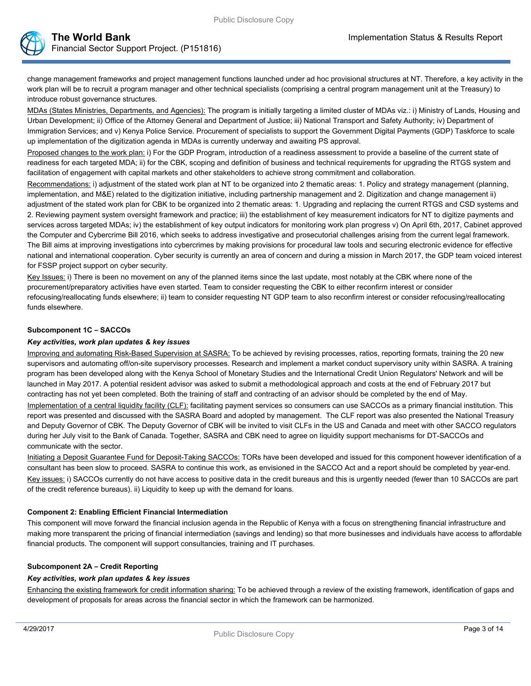

change management frameworks and project management functions launched under ad hoc provisional structures at NT. Therefore, a key activity in the work plan will be to recruit a program manager and other technical specialists (comprising a central program management unit at the Treasury) to introduce robust governance structures.

MDAs (States Ministries, Departments, and Agencies): The program is initially targeting a limited cluster of MDAs viz.: i) Ministry of Lands, Housing and Urban Development; ii) Office of the Attorney General and Department of Justice; iii) National Transport and Safety Authority; iv) Department of Immigration Services; and v) Kenya Police Service. Procurement of specialists to support the Government Digital Payments (GDP) Taskforce to scale up implementation of the digitization agenda in MDAs is currently underway and awaiting PS approval.

Proposed changes to the work plan: i) For the GDP Program, introduction of a readiness assessment to provide a baseline of the current state of readiness for each targeted MDA; ii) for the CBK, scoping and definition of business and technical requirements for upgrading the RTGS system and facilitation of engagement with capital markets and other stakeholders to achieve strong commitment and collaboration.

Recommendations: i) adjustment of the stated work plan at NT to be organized into 2 thematic areas: 1. Policy and strategy management (planning, implementation, and M&E) related to the digitization initiative, including partnership management and 2. Digitization and change management ii) adjustment of the stated work plan for CBK to be organized into 2 thematic areas: 1. Upgrading and replacing the current RTGS and CSD systems and 2. Reviewing payment system oversight framework and practice; iii) the establishment of key measurement indicators for NT to digitize payments and services across targeted MDAs; iv) the establishment of key output indicators for monitoring work plan progress v) On April 6th, 2017, Cabinet approved the Computer and Cybercrime Bill 2016, which seeks to address investigative and prosecutorial challenges arising from the current legal framework. The Bill aims at improving investigations into cybercrimes by making provisions for procedural law tools and securing electronic evidence for effective national and international cooperation. Cyber security is currently an area of concern and during a mission in March 2017, the GDP team voiced interest for FSSP project support on cyber security.

Key Issues: i) There is been no movement on any of the planned items since the last update, most notably at the CBK where none of the procurement/preparatory activities have even started. Team to consider requesting the CBK to either reconfirm interest or consider refocusing/reallocating funds elsewhere; ii) team to consider requesting NT GDP team to also reconfirm interest or consider refocusing/reallocating funds elsewhere.

#### **Subcomponent 1C – SACCOs**

#### *Key activities, work plan updates & key issues*

Improving and automating Risk-Based Supervision at SASRA: To be achieved by revising processes, ratios, reporting formats, training the 20 new supervisors and automating off/on-site supervisory processes. Research and implement a market conduct supervisory unity within SASRA. A training program has been developed along with the Kenya School of Monetary Studies and the International Credit Union Regulators' Network and will be launched in May 2017. A potential resident advisor was asked to submit a methodological approach and costs at the end of February 2017 but contracting has not yet been completed. Both the training of staff and contracting of an advisor should be completed by the end of May. Implementation of a central liquidity facility (CLF): facilitating payment services so consumers can use SACCOs as a primary financial institution. This report was presented and discussed with the SASRA Board and adopted by management. The CLF report was also presented the National Treasury and Deputy Governor of CBK. The Deputy Governor of CBK will be invited to visit CLFs in the US and Canada and meet with other SACCO regulators during her July visit to the Bank of Canada. Together, SASRA and CBK need to agree on liquidity support mechanisms for DT-SACCOs and communicate with the sector.

Initiating a Deposit Guarantee Fund for Deposit-Taking SACCOs: TORs have been developed and issued for this component however identification of a consultant has been slow to proceed. SASRA to continue this work, as envisioned in the SACCO Act and a report should be completed by year-end. Key issues: i) SACCOs currently do not have access to positive data in the credit bureaus and this is urgently needed (fewer than 10 SACCOs are part of the credit reference bureaus). ii) Liquidity to keep up with the demand for loans.

#### **Component 2: Enabling Efficient Financial Intermediation**

This component will move forward the financial inclusion agenda in the Republic of Kenya with a focus on strengthening financial infrastructure and making more transparent the pricing of financial intermediation (savings and lending) so that more businesses and individuals have access to affordable financial products. The component will support consultancies, training and IT purchases.

#### **Subcomponent 2A – Credit Reporting**

#### *Key activities, work plan updates & key issues*

Enhancing the existing framework for credit information sharing: To be achieved through a review of the existing framework, identification of gaps and development of proposals for areas across the financial sector in which the framework can be harmonized.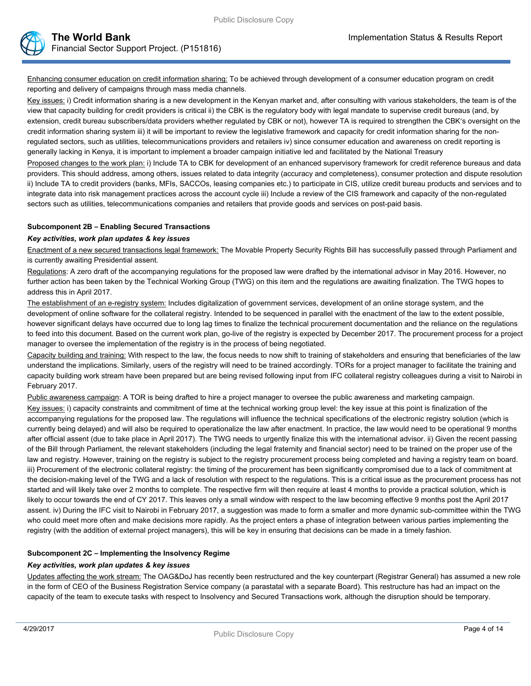

Enhancing consumer education on credit information sharing: To be achieved through development of a consumer education program on credit reporting and delivery of campaigns through mass media channels.

Key issues: i) Credit information sharing is a new development in the Kenyan market and, after consulting with various stakeholders, the team is of the view that capacity building for credit providers is critical ii) the CBK is the regulatory body with legal mandate to supervise credit bureaus (and, by extension, credit bureau subscribers/data providers whether regulated by CBK or not), however TA is required to strengthen the CBK's oversight on the credit information sharing system iii) it will be important to review the legislative framework and capacity for credit information sharing for the nonregulated sectors, such as utilities, telecommunications providers and retailers iv) since consumer education and awareness on credit reporting is generally lacking in Kenya, it is important to implement a broader campaign initiative led and facilitated by the National Treasury

Proposed changes to the work plan: i) Include TA to CBK for development of an enhanced supervisory framework for credit reference bureaus and data providers. This should address, among others, issues related to data integrity (accuracy and completeness), consumer protection and dispute resolution ii) Include TA to credit providers (banks, MFIs, SACCOs, leasing companies etc.) to participate in CIS, utilize credit bureau products and services and to integrate data into risk management practices across the account cycle iii) Include a review of the CIS framework and capacity of the non-regulated sectors such as utilities, telecommunications companies and retailers that provide goods and services on post-paid basis.

#### **Subcomponent 2B – Enabling Secured Transactions**

#### *Key activities, work plan updates & key issues*

Enactment of a new secured transactions legal framework: The Movable Property Security Rights Bill has successfully passed through Parliament and is currently awaiting Presidential assent.

Regulations: A zero draft of the accompanying regulations for the proposed law were drafted by the international advisor in May 2016. However, no further action has been taken by the Technical Working Group (TWG) on this item and the regulations are awaiting finalization. The TWG hopes to address this in April 2017.

The establishment of an e-registry system: Includes digitalization of government services, development of an online storage system, and the development of online software for the collateral registry. Intended to be sequenced in parallel with the enactment of the law to the extent possible, however significant delays have occurred due to long lag times to finalize the technical procurement documentation and the reliance on the regulations to feed into this document. Based on the current work plan, go-live of the registry is expected by December 2017. The procurement process for a project manager to oversee the implementation of the registry is in the process of being negotiated.

Capacity building and training: With respect to the law, the focus needs to now shift to training of stakeholders and ensuring that beneficiaries of the law understand the implications. Similarly, users of the registry will need to be trained accordingly. TORs for a project manager to facilitate the training and capacity building work stream have been prepared but are being revised following input from IFC collateral registry colleagues during a visit to Nairobi in February 2017.

Public awareness campaign: A TOR is being drafted to hire a project manager to oversee the public awareness and marketing campaign.

Key issues: i) capacity constraints and commitment of time at the technical working group level: the key issue at this point is finalization of the accompanying regulations for the proposed law. The regulations will influence the technical specifications of the electronic registry solution (which is currently being delayed) and will also be required to operationalize the law after enactment. In practice, the law would need to be operational 9 months after official assent (due to take place in April 2017). The TWG needs to urgently finalize this with the international advisor. ii) Given the recent passing of the Bill through Parliament, the relevant stakeholders (including the legal fraternity and financial sector) need to be trained on the proper use of the law and registry. However, training on the registry is subject to the registry procurement process being completed and having a registry team on board. iii) Procurement of the electronic collateral registry: the timing of the procurement has been significantly compromised due to a lack of commitment at the decision-making level of the TWG and a lack of resolution with respect to the regulations. This is a critical issue as the procurement process has not started and will likely take over 2 months to complete. The respective firm will then require at least 4 months to provide a practical solution, which is likely to occur towards the end of CY 2017. This leaves only a small window with respect to the law becoming effective 9 months post the April 2017 assent. iv) During the IFC visit to Nairobi in February 2017, a suggestion was made to form a smaller and more dynamic sub-committee within the TWG who could meet more often and make decisions more rapidly. As the project enters a phase of integration between various parties implementing the registry (with the addition of external project managers), this will be key in ensuring that decisions can be made in a timely fashion.

#### **Subcomponent 2C – Implementing the Insolvency Regime**

#### *Key activities, work plan updates & key issues*

Updates affecting the work stream: The OAG&DoJ has recently been restructured and the key counterpart (Registrar General) has assumed a new role in the form of CEO of the Business Registration Service company (a parastatal with a separate Board). This restructure has had an impact on the capacity of the team to execute tasks with respect to Insolvency and Secured Transactions work, although the disruption should be temporary.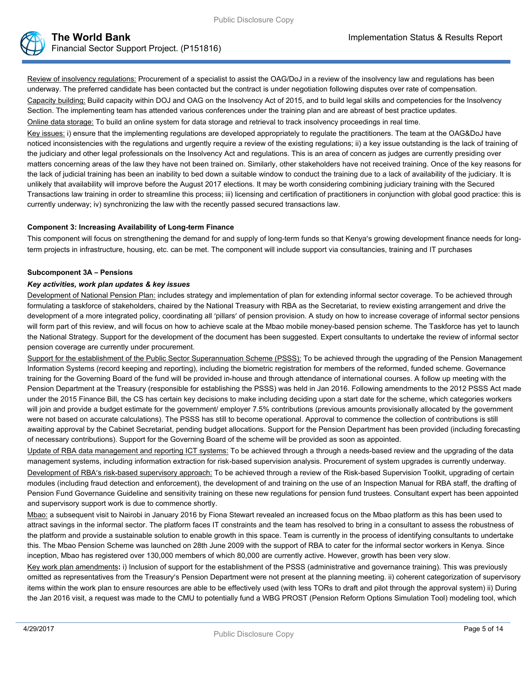

Review of insolvency regulations: Procurement of a specialist to assist the OAG/DoJ in a review of the insolvency law and regulations has been underway. The preferred candidate has been contacted but the contract is under negotiation following disputes over rate of compensation. Capacity building: Build capacity within DOJ and OAG on the Insolvency Act of 2015, and to build legal skills and competencies for the Insolvency

Section. The implementing team has attended various conferences under the training plan and are abreast of best practice updates.

Online data storage: To build an online system for data storage and retrieval to track insolvency proceedings in real time.

Key issues: i) ensure that the implementing regulations are developed appropriately to regulate the practitioners. The team at the OAG&DoJ have noticed inconsistencies with the regulations and urgently require a review of the existing regulations; ii) a key issue outstanding is the lack of training of the judiciary and other legal professionals on the Insolvency Act and regulations. This is an area of concern as judges are currently presiding over matters concerning areas of the law they have not been trained on. Similarly, other stakeholders have not received training. Once of the key reasons for the lack of judicial training has been an inability to bed down a suitable window to conduct the training due to a lack of availability of the judiciary. It is unlikely that availability will improve before the August 2017 elections. It may be worth considering combining judiciary training with the Secured Transactions law training in order to streamline this process; iii) licensing and certification of practitioners in conjunction with global good practice: this is currently underway; iv) synchronizing the law with the recently passed secured transactions law.

#### **Component 3: Increasing Availability of Long-term Finance**

This component will focus on strengthening the demand for and supply of long-term funds so that Kenya's growing development finance needs for longterm projects in infrastructure, housing, etc. can be met. The component will include support via consultancies, training and IT purchases

#### **Subcomponent 3A – Pensions**

#### *Key activities, work plan updates & key issues*

Development of National Pension Plan: includes strategy and implementation of plan for extending informal sector coverage. To be achieved through formulating a taskforce of stakeholders, chaired by the National Treasury with RBA as the Secretariat, to review existing arrangement and drive the development of a more integrated policy, coordinating all 'pillars' of pension provision. A study on how to increase coverage of informal sector pensions will form part of this review, and will focus on how to achieve scale at the Mbao mobile money-based pension scheme. The Taskforce has yet to launch the National Strategy. Support for the development of the document has been suggested. Expert consultants to undertake the review of informal sector pension coverage are currently under procurement.

Support for the establishment of the Public Sector Superannuation Scheme (PSSS): To be achieved through the upgrading of the Pension Management Information Systems (record keeping and reporting), including the biometric registration for members of the reformed, funded scheme. Governance training for the Governing Board of the fund will be provided in-house and through attendance of international courses. A follow up meeting with the Pension Department at the Treasury (responsible for establishing the PSSS) was held in Jan 2016. Following amendments to the 2012 PSSS Act made under the 2015 Finance Bill, the CS has certain key decisions to make including deciding upon a start date for the scheme, which categories workers will join and provide a budget estimate for the government/ employer 7.5% contributions (previous amounts provisionally allocated by the government were not based on accurate calculations). The PSSS has still to become operational. Approval to commence the collection of contributions is still awaiting approval by the Cabinet Secretariat, pending budget allocations. Support for the Pension Department has been provided (including forecasting of necessary contributions). Support for the Governing Board of the scheme will be provided as soon as appointed.

Update of RBA data management and reporting ICT systems: To be achieved through a through a needs-based review and the upgrading of the data management systems, including information extraction for risk-based supervision analysis. Procurement of system upgrades is currently underway.

Development of RBA's risk-based supervisory approach: To be achieved through a review of the Risk-based Supervision Toolkit, upgrading of certain modules (including fraud detection and enforcement), the development of and training on the use of an Inspection Manual for RBA staff, the drafting of Pension Fund Governance Guideline and sensitivity training on these new regulations for pension fund trustees. Consultant expert has been appointed and supervisory support work is due to commence shortly.

Mbao: a subsequent visit to Nairobi in January 2016 by Fiona Stewart revealed an increased focus on the Mbao platform as this has been used to attract savings in the informal sector. The platform faces IT constraints and the team has resolved to bring in a consultant to assess the robustness of the platform and provide a sustainable solution to enable growth in this space. Team is currently in the process of identifying consultants to undertake this. The Mbao Pension Scheme was launched on 28th June 2009 with the support of RBA to cater for the informal sector workers in Kenya. Since inception, Mbao has registered over 130,000 members of which 80,000 are currently active. However, growth has been very slow.

Key work plan amendments**:** i) Inclusion of support for the establishment of the PSSS (administrative and governance training). This was previously omitted as representatives from the Treasury's Pension Department were not present at the planning meeting. ii) coherent categorization of supervisory items within the work plan to ensure resources are able to be effectively used (with less TORs to draft and pilot through the approval system) ii) During the Jan 2016 visit, a request was made to the CMU to potentially fund a WBG PROST (Pension Reform Options Simulation Tool) modeling tool, which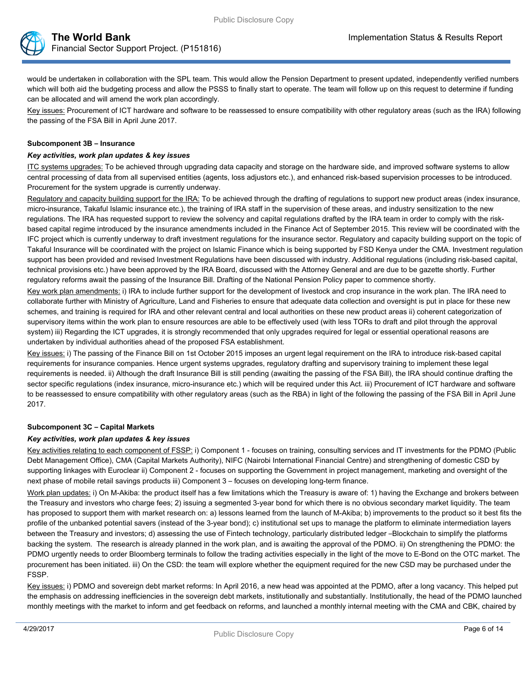

would be undertaken in collaboration with the SPL team. This would allow the Pension Department to present updated, independently verified numbers which will both aid the budgeting process and allow the PSSS to finally start to operate. The team will follow up on this request to determine if funding can be allocated and will amend the work plan accordingly.

Key issues: Procurement of ICT hardware and software to be reassessed to ensure compatibility with other regulatory areas (such as the IRA) following the passing of the FSA Bill in April June 2017.

#### **Subcomponent 3B – Insurance**

#### *Key activities, work plan updates & key issues*

ITC systems upgrades: To be achieved through upgrading data capacity and storage on the hardware side, and improved software systems to allow central processing of data from all supervised entities (agents, loss adjustors etc.), and enhanced risk-based supervision processes to be introduced. Procurement for the system upgrade is currently underway.

Regulatory and capacity building support for the IRA: To be achieved through the drafting of regulations to support new product areas (index insurance, micro-insurance, Takaful Islamic insurance etc.), the training of IRA staff in the supervision of these areas, and industry sensitization to the new regulations. The IRA has requested support to review the solvency and capital regulations drafted by the IRA team in order to comply with the riskbased capital regime introduced by the insurance amendments included in the Finance Act of September 2015. This review will be coordinated with the IFC project which is currently underway to draft investment regulations for the insurance sector. Regulatory and capacity building support on the topic of Takaful Insurance will be coordinated with the project on Islamic Finance which is being supported by FSD Kenya under the CMA. Investment regulation support has been provided and revised Investment Regulations have been discussed with industry. Additional regulations (including risk-based capital, technical provisions etc.) have been approved by the IRA Board, discussed with the Attorney General and are due to be gazette shortly. Further regulatory reforms await the passing of the Insurance Bill. Drafting of the National Pension Policy paper to commence shortly.

Key work plan amendments: i) IRA to include further support for the development of livestock and crop insurance in the work plan. The IRA need to collaborate further with Ministry of Agriculture, Land and Fisheries to ensure that adequate data collection and oversight is put in place for these new schemes, and training is required for IRA and other relevant central and local authorities on these new product areas ii) coherent categorization of supervisory items within the work plan to ensure resources are able to be effectively used (with less TORs to draft and pilot through the approval system) iii) Regarding the ICT upgrades, it is strongly recommended that only upgrades required for legal or essential operational reasons are undertaken by individual authorities ahead of the proposed FSA establishment.

Key issues: i) The passing of the Finance Bill on 1st October 2015 imposes an urgent legal requirement on the IRA to introduce risk-based capital requirements for insurance companies. Hence urgent systems upgrades, regulatory drafting and supervisory training to implement these legal requirements is needed. ii) Although the draft Insurance Bill is still pending (awaiting the passing of the FSA Bill), the IRA should continue drafting the sector specific regulations (index insurance, micro-insurance etc.) which will be required under this Act. iii) Procurement of ICT hardware and software to be reassessed to ensure compatibility with other regulatory areas (such as the RBA) in light of the following the passing of the FSA Bill in April June 2017.

#### **Subcomponent 3C – Capital Markets**

#### *Key activities, work plan updates & key issues*

Key activities relating to each component of FSSP: i) Component 1 - focuses on training, consulting services and IT investments for the PDMO (Public Debt Management Office), CMA (Capital Markets Authority), NIFC (Nairobi International Financial Centre) and strengthening of domestic CSD by supporting linkages with Euroclear ii) Component 2 - focuses on supporting the Government in project management, marketing and oversight of the next phase of mobile retail savings products iii) Component 3 – focuses on developing long-term finance.

Work plan updates: i) On M-Akiba: the product itself has a few limitations which the Treasury is aware of: 1) having the Exchange and brokers between the Treasury and investors who charge fees; 2) issuing a segmented 3-year bond for which there is no obvious secondary market liquidity. The team has proposed to support them with market research on: a) lessons learned from the launch of M-Akiba; b) improvements to the product so it best fits the profile of the unbanked potential savers (instead of the 3-year bond); c) institutional set ups to manage the platform to eliminate intermediation layers between the Treasury and investors; d) assessing the use of Fintech technology, particularly distributed ledger –Blockchain to simplify the platforms backing the system. The research is already planned in the work plan, and is awaiting the approval of the PDMO. ii) On strengthening the PDMO: the PDMO urgently needs to order Bloomberg terminals to follow the trading activities especially in the light of the move to E-Bond on the OTC market. The procurement has been initiated. iii) On the CSD: the team will explore whether the equipment required for the new CSD may be purchased under the FSSP.

Key issues: i) PDMO and sovereign debt market reforms: In April 2016, a new head was appointed at the PDMO, after a long vacancy. This helped put the emphasis on addressing inefficiencies in the sovereign debt markets, institutionally and substantially. Institutionally, the head of the PDMO launched monthly meetings with the market to inform and get feedback on reforms, and launched a monthly internal meeting with the CMA and CBK, chaired by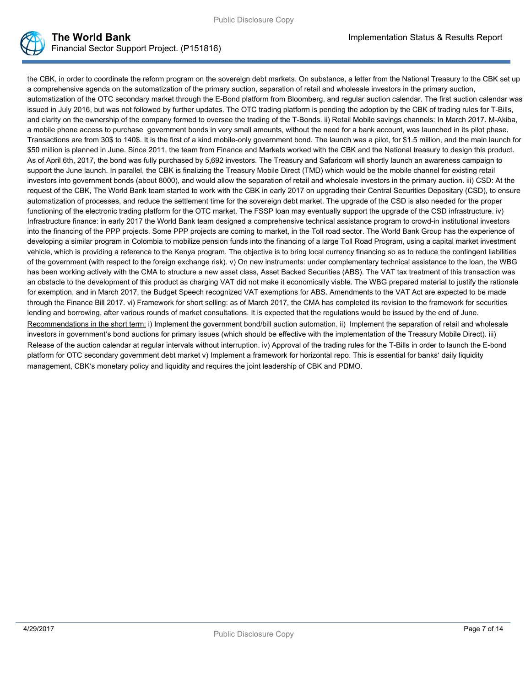



the CBK, in order to coordinate the reform program on the sovereign debt markets. On substance, a letter from the National Treasury to the CBK set up a comprehensive agenda on the automatization of the primary auction, separation of retail and wholesale investors in the primary auction, automatization of the OTC secondary market through the E-Bond platform from Bloomberg, and regular auction calendar. The first auction calendar was issued in July 2016, but was not followed by further updates. The OTC trading platform is pending the adoption by the CBK of trading rules for T-Bills, and clarity on the ownership of the company formed to oversee the trading of the T-Bonds. ii) Retail Mobile savings channels: In March 2017. M-Akiba, a mobile phone access to purchase government bonds in very small amounts, without the need for a bank account, was launched in its pilot phase. Transactions are from 30\$ to 140\$. It is the first of a kind mobile-only government bond. The launch was a pilot, for \$1.5 million, and the main launch for \$50 million is planned in June. Since 2011, the team from Finance and Markets worked with the CBK and the National treasury to design this product. As of April 6th, 2017, the bond was fully purchased by 5,692 investors. The Treasury and Safaricom will shortly launch an awareness campaign to support the June launch. In parallel, the CBK is finalizing the Treasury Mobile Direct (TMD) which would be the mobile channel for existing retail investors into government bonds (about 8000), and would allow the separation of retail and wholesale investors in the primary auction. iii) CSD: At the request of the CBK, The World Bank team started to work with the CBK in early 2017 on upgrading their Central Securities Depositary (CSD), to ensure automatization of processes, and reduce the settlement time for the sovereign debt market. The upgrade of the CSD is also needed for the proper functioning of the electronic trading platform for the OTC market. The FSSP loan may eventually support the upgrade of the CSD infrastructure. iv) Infrastructure finance: in early 2017 the World Bank team designed a comprehensive technical assistance program to crowd-in institutional investors into the financing of the PPP projects. Some PPP projects are coming to market, in the Toll road sector. The World Bank Group has the experience of developing a similar program in Colombia to mobilize pension funds into the financing of a large Toll Road Program, using a capital market investment vehicle, which is providing a reference to the Kenya program. The objective is to bring local currency financing so as to reduce the contingent liabilities of the government (with respect to the foreign exchange risk). v) On new instruments: under complementary technical assistance to the loan, the WBG has been working actively with the CMA to structure a new asset class, Asset Backed Securities (ABS). The VAT tax treatment of this transaction was an obstacle to the development of this product as charging VAT did not make it economically viable. The WBG prepared material to justify the rationale for exemption, and in March 2017, the Budget Speech recognized VAT exemptions for ABS. Amendments to the VAT Act are expected to be made through the Finance Bill 2017. vi) Framework for short selling: as of March 2017, the CMA has completed its revision to the framework for securities lending and borrowing, after various rounds of market consultations. It is expected that the regulations would be issued by the end of June. Recommendations in the short term: i) Implement the government bond/bill auction automation. ii) Implement the separation of retail and wholesale investors in government's bond auctions for primary issues (which should be effective with the implementation of the Treasury Mobile Direct). iii) Release of the auction calendar at regular intervals without interruption. iv) Approval of the trading rules for the T-Bills in order to launch the E-bond platform for OTC secondary government debt market v) Implement a framework for horizontal repo. This is essential for banks' daily liquidity management, CBK's monetary policy and liquidity and requires the joint leadership of CBK and PDMO.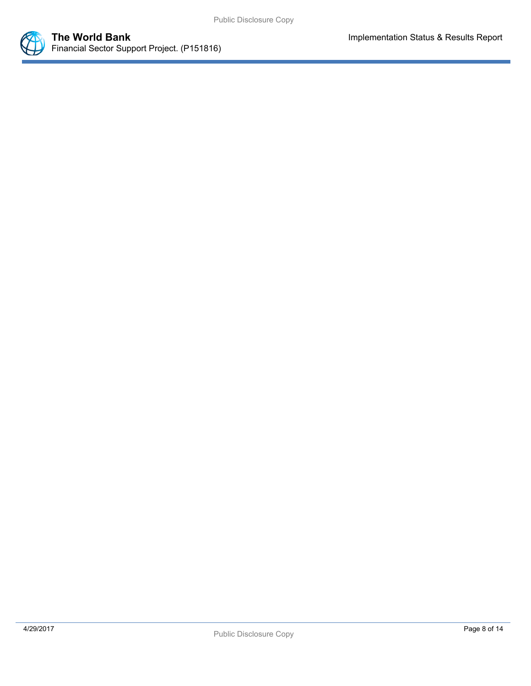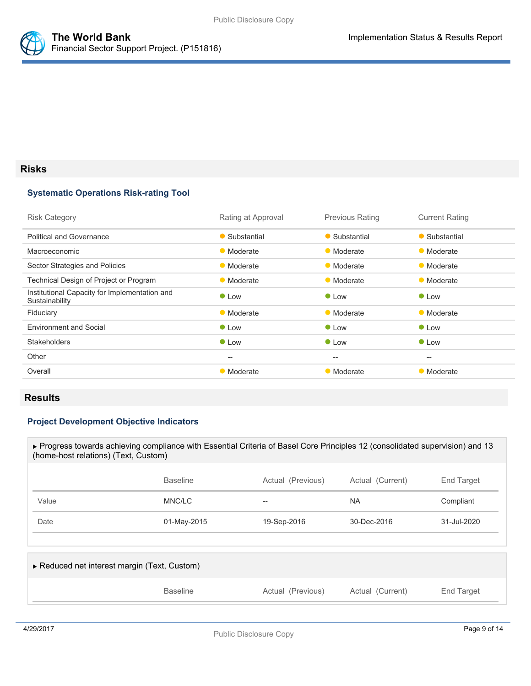

## **Risks**

## **Systematic Operations Risk-rating Tool**

| <b>Risk Category</b>                                            | Rating at Approval       | <b>Previous Rating</b>   | <b>Current Rating</b>                               |
|-----------------------------------------------------------------|--------------------------|--------------------------|-----------------------------------------------------|
| <b>Political and Governance</b>                                 | • Substantial            | • Substantial            | • Substantial                                       |
| Macroeconomic                                                   | • Moderate               | • Moderate               | • Moderate                                          |
| Sector Strategies and Policies                                  | • Moderate               | • Moderate               | • Moderate                                          |
| Technical Design of Project or Program                          | • Moderate               | • Moderate               | • Moderate                                          |
| Institutional Capacity for Implementation and<br>Sustainability | $\bullet$ Low            | $\bullet$ Low            | $\bullet$ Low                                       |
| Fiduciary                                                       | • Moderate               | • Moderate               | • Moderate                                          |
| <b>Environment and Social</b>                                   | $\bullet$ Low            | $\bullet$ Low            | $\bullet$ Low                                       |
| <b>Stakeholders</b>                                             | $\bullet$ Low            | $\bullet$ Low            | • Low                                               |
| Other                                                           | $\overline{\phantom{m}}$ | $\overline{\phantom{m}}$ | $\hspace{0.05cm} -\hspace{0.05cm} -\hspace{0.05cm}$ |
| Overall                                                         | • Moderate               | • Moderate               | • Moderate                                          |
|                                                                 |                          |                          |                                                     |

## **Results**

## **Project Development Objective Indicators**

 Progress towards achieving compliance with Essential Criteria of Basel Core Principles 12 (consolidated supervision) and 13 (home-host relations) (Text, Custom)

|       | <b>Baseline</b> | Actual (Previous)                                   | Actual (Current) | End Target  |
|-------|-----------------|-----------------------------------------------------|------------------|-------------|
| Value | MNC/LC          | $\hspace{0.05cm} -\hspace{0.05cm} -\hspace{0.05cm}$ | <b>NA</b>        | Compliant   |
| Date  | 01-May-2015     | 19-Sep-2016                                         | 30-Dec-2016      | 31-Jul-2020 |
|       |                 |                                                     |                  |             |
|       |                 |                                                     |                  |             |

| $\triangleright$ Reduced net interest margin (Text, Custom) |                 |                   |                  |            |
|-------------------------------------------------------------|-----------------|-------------------|------------------|------------|
|                                                             | <b>Baseline</b> | Actual (Previous) | Actual (Current) | End Target |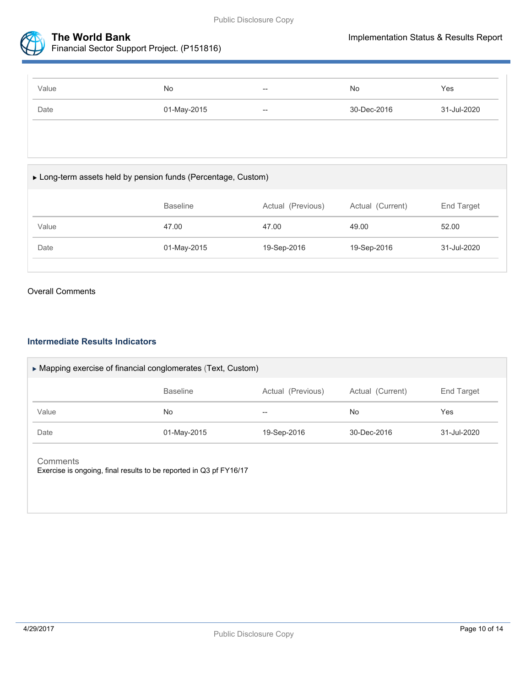



Financial Sector Support Project. (P151816)

|                     | $- -$ | No.         | Yes         |
|---------------------|-------|-------------|-------------|
| 01-May-2015<br>Date | $- -$ | 30-Dec-2016 | 31-Jul-2020 |

## Long-term assets held by pension funds (Percentage, Custom)

|       | <b>Baseline</b> | Actual (Previous) | Actual (Current) | End Target  |
|-------|-----------------|-------------------|------------------|-------------|
| Value | 47.00           | 47.00             | 49.00            | 52.00       |
| Date  | 01-May-2015     | 19-Sep-2016       | 19-Sep-2016      | 31-Jul-2020 |

## Overall Comments

## **Intermediate Results Indicators**

| ▶ Mapping exercise of financial conglomerates (Text, Custom)                   |                 |                   |                  |             |  |
|--------------------------------------------------------------------------------|-----------------|-------------------|------------------|-------------|--|
|                                                                                | <b>Baseline</b> | Actual (Previous) | Actual (Current) | End Target  |  |
| Value                                                                          | <b>No</b>       | $-$               | <b>No</b>        | Yes         |  |
| Date                                                                           | 01-May-2015     | 19-Sep-2016       | 30-Dec-2016      | 31-Jul-2020 |  |
| Comments<br>Exercise is ongoing, final results to be reported in Q3 pf FY16/17 |                 |                   |                  |             |  |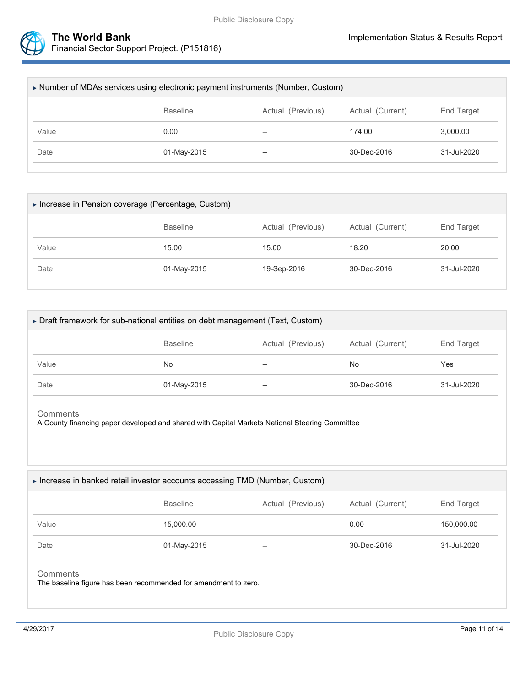

| Number of MDAs services using electronic payment instruments (Number, Custom) |             |                          |             |             |  |
|-------------------------------------------------------------------------------|-------------|--------------------------|-------------|-------------|--|
| <b>Baseline</b><br>Actual (Previous)<br>Actual (Current)<br>End Target        |             |                          |             |             |  |
| Value                                                                         | 0.00        | $\overline{\phantom{m}}$ | 174.00      | 3.000.00    |  |
| Date                                                                          | 01-May-2015 | $\overline{\phantom{a}}$ | 30-Dec-2016 | 31-Jul-2020 |  |
|                                                                               |             |                          |             |             |  |

| Increase in Pension coverage (Percentage, Custom) |                 |                   |                  |             |  |
|---------------------------------------------------|-----------------|-------------------|------------------|-------------|--|
|                                                   | <b>Baseline</b> | Actual (Previous) | Actual (Current) | End Target  |  |
| Value                                             | 15.00           | 15.00             | 18.20            | 20.00       |  |
| Date                                              | 01-May-2015     | 19-Sep-2016       | 30-Dec-2016      | 31-Jul-2020 |  |
|                                                   |                 |                   |                  |             |  |

| ► Draft framework for sub-national entities on debt management (Text, Custom) |                 |                          |                  |             |  |
|-------------------------------------------------------------------------------|-----------------|--------------------------|------------------|-------------|--|
|                                                                               | <b>Baseline</b> | Actual (Previous)        | Actual (Current) | End Target  |  |
| Value                                                                         | No              | $\overline{\phantom{m}}$ | <b>No</b>        | Yes         |  |
| Date                                                                          | 01-May-2015     | $- -$                    | 30-Dec-2016      | 31-Jul-2020 |  |

**Comments** 

A County financing paper developed and shared with Capital Markets National Steering Committee

 $\blacktriangleright$  Increase in banked retail investor accounts accessing TMD (Number, Custom)

|       | <b>Baseline</b> | Actual (Previous) | Actual (Current) | End Target  |
|-------|-----------------|-------------------|------------------|-------------|
| Value | 15,000.00       | $- -$             | 0.00             | 150,000.00  |
| Date  | 01-May-2015     | $- -$             | 30-Dec-2016      | 31-Jul-2020 |

#### **Comments**

The baseline figure has been recommended for amendment to zero.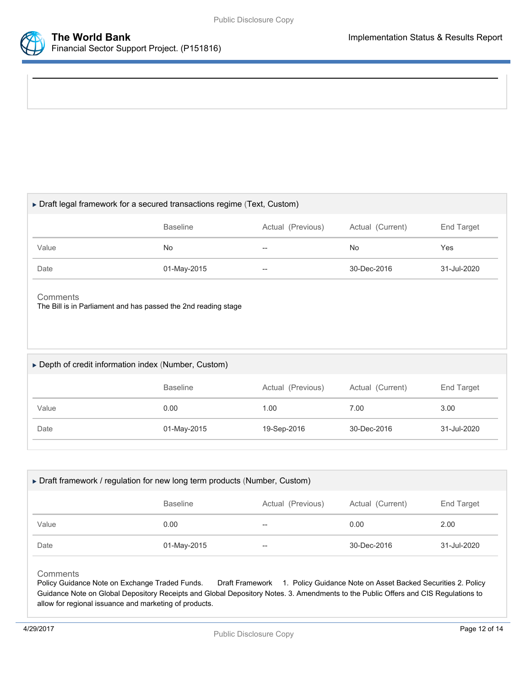

| ▶ Draft legal framework for a secured transactions regime (Text, Custom)          |                 |                   |                  |             |  |
|-----------------------------------------------------------------------------------|-----------------|-------------------|------------------|-------------|--|
|                                                                                   | <b>Baseline</b> | Actual (Previous) | Actual (Current) | End Target  |  |
| Value                                                                             | No              | --                | <b>No</b>        | Yes         |  |
| Date                                                                              | 01-May-2015     |                   | 30-Dec-2016      | 31-Jul-2020 |  |
| <b>Comments</b><br>The Bill is in Parliament and has passed the 2nd reading stage |                 |                   |                  |             |  |
| ▶ Depth of credit information index (Number, Custom)                              |                 |                   |                  |             |  |
|                                                                                   | <b>Baseline</b> | Actual (Previous) | Actual (Current) | End Target  |  |
| Value                                                                             | 0.00            | 1.00              | 7.00             | 3.00        |  |
| Date                                                                              | 01-May-2015     | 19-Sep-2016       | 30-Dec-2016      | 31-Jul-2020 |  |
|                                                                                   |                 |                   |                  |             |  |

| ► Draft framework / regulation for new long term products (Number, Custom) |                 |                   |                  |             |  |  |
|----------------------------------------------------------------------------|-----------------|-------------------|------------------|-------------|--|--|
|                                                                            | <b>Baseline</b> | Actual (Previous) | Actual (Current) | End Target  |  |  |
| Value                                                                      | 0.00            | $- -$             | 0.00             | 2.00        |  |  |
| Date                                                                       | 01-May-2015     | $- -$             | 30-Dec-2016      | 31-Jul-2020 |  |  |

#### **Comments**

Policy Guidance Note on Exchange Traded Funds. Draft Framework 1. Policy Guidance Note on Asset Backed Securities 2. Policy Guidance Note on Global Depository Receipts and Global Depository Notes. 3. Amendments to the Public Offers and CIS Regulations to allow for regional issuance and marketing of products.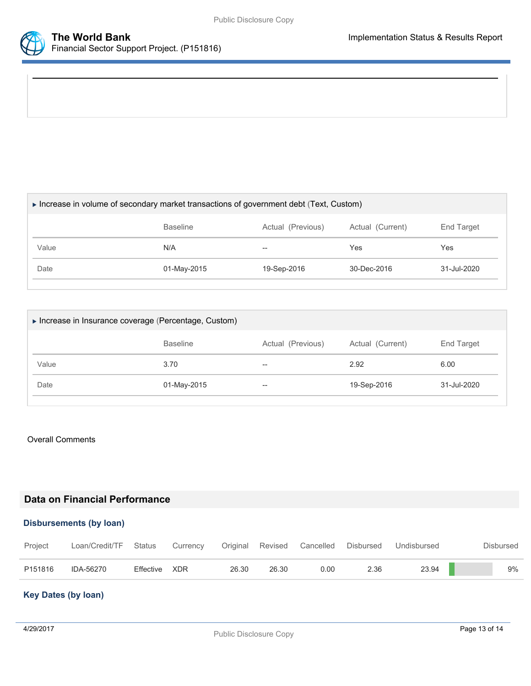

| ► Increase in volume of secondary market transactions of government debt (Text, Custom) |             |                  |             |  |  |  |  |
|-----------------------------------------------------------------------------------------|-------------|------------------|-------------|--|--|--|--|
| <b>Baseline</b><br>Actual (Previous)                                                    |             | Actual (Current) | End Target  |  |  |  |  |
| N/A                                                                                     | $- -$       | Yes              | Yes         |  |  |  |  |
| 01-May-2015                                                                             | 19-Sep-2016 | 30-Dec-2016      | 31-Jul-2020 |  |  |  |  |
|                                                                                         |             |                  |             |  |  |  |  |

| Increase in Insurance coverage (Percentage, Custom) |                 |                   |                  |             |  |  |  |
|-----------------------------------------------------|-----------------|-------------------|------------------|-------------|--|--|--|
|                                                     | <b>Baseline</b> | Actual (Previous) | Actual (Current) | End Target  |  |  |  |
| Value                                               | 3.70            | $- -$             | 2.92             | 6.00        |  |  |  |
| Date                                                | 01-May-2015     | $\hspace{0.05cm}$ | 19-Sep-2016      | 31-Jul-2020 |  |  |  |
|                                                     |                 |                   |                  |             |  |  |  |

### Overall Comments

# **Data on Financial Performance**

## **Disbursements (by loan)**

| Project | Loan/Credit/TF Status Currency Original Revised Cancelled Disbursed |               |       |       |      |      | Undisbursed | Disbursed |
|---------|---------------------------------------------------------------------|---------------|-------|-------|------|------|-------------|-----------|
| P151816 | IDA-56270                                                           | Effective XDR | 26.30 | 26.30 | 0.00 | 2.36 | 23.94       | 9%        |

## **Key Dates (by loan)**